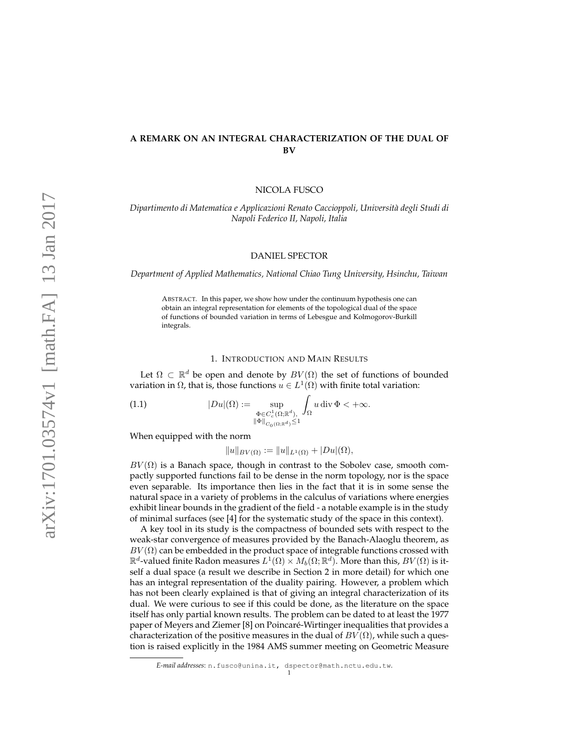# **A REMARK ON AN INTEGRAL CHARACTERIZATION OF THE DUAL OF BV**

NICOLA FUSCO

*Dipartimento di Matematica e Applicazioni Renato Caccioppoli, Universit`a degli Studi di Napoli Federico II, Napoli, Italia*

## DANIEL SPECTOR

*Department of Applied Mathematics, National Chiao Tung University, Hsinchu, Taiwan*

ABSTRACT. In this paper, we show how under the continuum hypothesis one can obtain an integral representation for elements of the topological dual of the space of functions of bounded variation in terms of Lebesgue and Kolmogorov-Burkill integrals.

#### 1. INTRODUCTION AND MAIN RESULTS

Let  $\Omega \subset \mathbb{R}^d$  be open and denote by  $BV(\Omega)$  the set of functions of bounded variation in  $\Omega$ , that is, those functions  $u \in L^1(\Omega)$  with finite total variation:

 $|Du|(\Omega) := \sup_{\Phi \in C^1_c(\Omega;\mathbb{R}^d),}$  $\|\Phi\|_{C_0(\Omega;\mathbb{R}^d)}\leq 1$ ˆ (1.1)  $|Du|(\Omega) := \sup_{\Phi \in C^1_\alpha(\Omega; \mathbb{R}^d), \ \int_{\Omega} u \, \mathrm{div} \, \Phi \leq +\infty.$ 

When equipped with the norm

$$
||u||_{BV(\Omega)} := ||u||_{L^1(\Omega)} + |Du|(\Omega),
$$

 $BV(\Omega)$  is a Banach space, though in contrast to the Sobolev case, smooth compactly supported functions fail to be dense in the norm topology, nor is the space even separable. Its importance then lies in the fact that it is in some sense the natural space in a variety of problems in the calculus of variations where energies exhibit linear bounds in the gradient of the field - a notable example is in the study of minimal surfaces (see [4] for the systematic study of the space in this context).

A key tool in its study is the compactness of bounded sets with respect to the weak-star convergence of measures provided by the Banach-Alaoglu theorem, as  $BV(\Omega)$  can be embedded in the product space of integrable functions crossed with  $\mathbb{R}^d$ -valued finite Radon measures  $L^1(\Omega) \times M_b(\Omega;\mathbb{R}^d)$ . More than this,  $BV(\Omega)$  is itself a dual space (a result we describe in Section 2 in more detail) for which one has an integral representation of the duality pairing. However, a problem which has not been clearly explained is that of giving an integral characterization of its dual. We were curious to see if this could be done, as the literature on the space itself has only partial known results. The problem can be dated to at least the 1977 paper of Meyers and Ziemer [8] on Poincare-Wirtinger inequalities that provides a ´ characterization of the positive measures in the dual of  $BV(\Omega)$ , while such a question is raised explicitly in the 1984 AMS summer meeting on Geometric Measure

*E-mail addresses*: n.fusco@unina.it, dspector@math.nctu.edu.tw.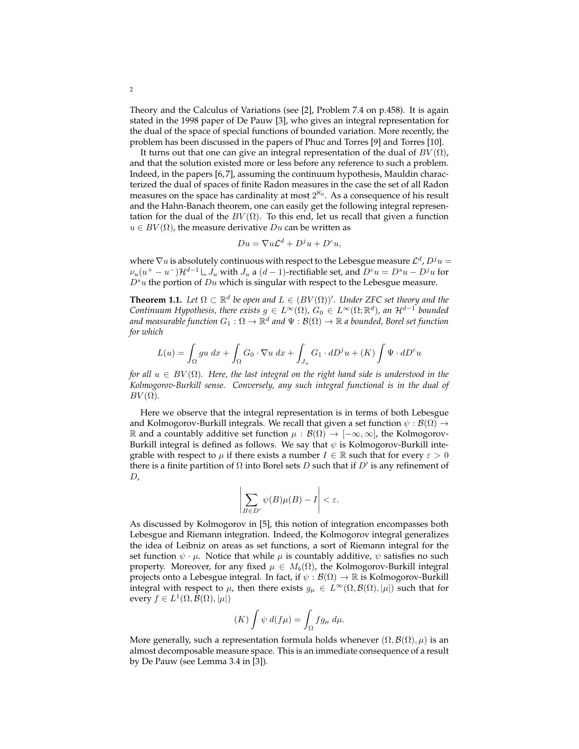Theory and the Calculus of Variations (see [2], Problem 7.4 on p.458). It is again stated in the 1998 paper of De Pauw [3], who gives an integral representation for the dual of the space of special functions of bounded variation. More recently, the problem has been discussed in the papers of Phuc and Torres [9] and Torres [10].

It turns out that one can give an integral representation of the dual of  $BV(\Omega)$ , and that the solution existed more or less before any reference to such a problem. Indeed, in the papers [6, 7], assuming the continuum hypothesis, Mauldin characterized the dual of spaces of finite Radon measures in the case the set of all Radon measures on the space has cardinality at most  $2^{\aleph_0}$ . As a consequence of his result and the Hahn-Banach theorem, one can easily get the following integral representation for the dual of the  $BV(\Omega)$ . To this end, let us recall that given a function  $u \in BV(\Omega)$ , the measure derivative  $Du$  can be written as

$$
Du = \nabla u \mathcal{L}^d + D^j u + D^c u,
$$

where  $\nabla u$  is absolutely continuous with respect to the Lebesgue measure  $\mathcal{L}^d$ ,  $D^j u =$  $\nu_u(u^+ - u^-) \mathcal{H}^{d-1} \mathcal{L} J_u$  with  $J_u$  a  $(d-1)$ -rectifiable set, and  $D^c u = D^s u - D^j u$  for  $D^s u$  the portion of  $Du$  which is singular with respect to the Lebesgue measure.

**Theorem 1.1.** *Let*  $\Omega \subset \mathbb{R}^d$  *be open and*  $L \in (BV(\Omega))'$ *. Under ZFC set theory and the Continuum Hypothesis, there exists*  $g \in L^{\infty}(\Omega)$ ,  $G_0 \in L^{\infty}(\Omega; \mathbb{R}^d)$ , an  $\mathcal{H}^{d-1}$  bounded and measurable function  $G_1:\Omega\to\mathbb{R}^d$  and  $\Psi:\mathcal{B}(\Omega)\to\mathbb{R}$  a bounded, Borel set function *for which*

$$
L(u) = \int_{\Omega} gu \, dx + \int_{\Omega} G_0 \cdot \nabla u \, dx + \int_{J_u} G_1 \cdot dD^j u + (K) \int \Psi \cdot dD^c u
$$

*for all*  $u \in BV(\Omega)$ *. Here, the last integral on the right hand side is understood in the Kolmogorov-Burkill sense. Conversely, any such integral functional is in the dual of*  $BV(\Omega)$ *.* 

Here we observe that the integral representation is in terms of both Lebesgue and Kolmogorov-Burkill integrals. We recall that given a set function  $\psi : \mathcal{B}(\Omega) \to$  $ℝ$  and a countably additive set function  $μ$  :  $B(Ω) → [-∞, ∞]$ , the Kolmogorov-Burkill integral is defined as follows. We say that  $\psi$  is Kolmogorov-Burkill integrable with respect to  $\mu$  if there exists a number  $I \in \mathbb{R}$  such that for every  $\varepsilon > 0$ there is a finite partition of  $\Omega$  into Borel sets D such that if D' is any refinement of  $D$ ,

$$
\left|\sum_{B\in D'} \psi(B)\mu(B) - I\right| < \varepsilon.
$$

As discussed by Kolmogorov in [5], this notion of integration encompasses both Lebesgue and Riemann integration. Indeed, the Kolmogorov integral generalizes the idea of Leibniz on areas as set functions, a sort of Riemann integral for the set function  $\psi \cdot \mu$ . Notice that while  $\mu$  is countably additive,  $\psi$  satisfies no such property. Moreover, for any fixed  $\mu \in M_b(\Omega)$ , the Kolmogorov-Burkill integral projects onto a Lebesgue integral. In fact, if  $\psi : \mathcal{B}(\Omega) \to \mathbb{R}$  is Kolmogorov-Burkill integral with respect to  $\mu$ , then there exists  $g_{\mu} \in L^{\infty}(\Omega, \mathcal{B}(\Omega), |\mu|)$  such that for every  $f \in L^1(\Omega, \mathcal{B}(\Omega), |\mu|)$ 

$$
(K)\int \psi\ d(f\mu) = \int_{\Omega} fg_{\mu}\ d\mu.
$$

More generally, such a representation formula holds whenever  $(\Omega, \mathcal{B}(\Omega), \mu)$  is an almost decomposable measure space. This is an immediate consequence of a result by De Pauw (see Lemma 3.4 in [3]).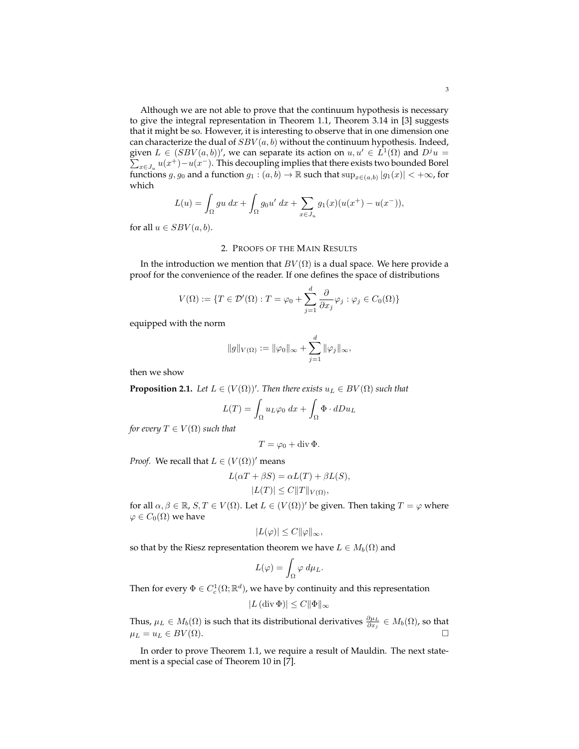Although we are not able to prove that the continuum hypothesis is necessary to give the integral representation in Theorem 1.1, Theorem 3.14 in [3] suggests that it might be so. However, it is interesting to observe that in one dimension one can characterize the dual of  $SBV(a, b)$  without the continuum hypothesis. Indeed, given  $L \in (SBV(a, b))'$ , we can separate its action on  $u, u' \in L^1(\Omega)$  and  $D^j u =$  $\sum_{x \in J_u} u(x^+) - u(x^-)$ . This decoupling implies that there exists two bounded Borel functions  $g, g_0$  and a function  $g_1 : (a, b) \to \mathbb{R}$  such that  $\sup_{x \in (a,b)} |g_1(x)| < +\infty$ , for which

$$
L(u) = \int_{\Omega} gu \, dx + \int_{\Omega} g_0 u' \, dx + \sum_{x \in J_u} g_1(x) (u(x^+) - u(x^-)),
$$

for all  $u \in SBV(a, b)$ .

### 2. PROOFS OF THE MAIN RESULTS

In the introduction we mention that  $BV(\Omega)$  is a dual space. We here provide a proof for the convenience of the reader. If one defines the space of distributions

$$
V(\Omega) := \{ T \in \mathcal{D}'(\Omega) : T = \varphi_0 + \sum_{j=1}^d \frac{\partial}{\partial x_j} \varphi_j : \varphi_j \in C_0(\Omega) \}
$$

equipped with the norm

$$
||g||_{V(\Omega)} := ||\varphi_0||_{\infty} + \sum_{j=1}^d ||\varphi_j||_{\infty},
$$

then we show

**Proposition 2.1.** Let  $L \in (V(\Omega))'$ . Then there exists  $u_L \in BV(\Omega)$  such that

$$
L(T) = \int_{\Omega} u_L \varphi_0 \, dx + \int_{\Omega} \Phi \cdot dDu_L
$$

*for every*  $T \in V(\Omega)$  *such that* 

$$
T = \varphi_0 + \operatorname{div} \Phi.
$$

*Proof.* We recall that  $L \in (V(\Omega))'$  means

$$
L(\alpha T + \beta S) = \alpha L(T) + \beta L(S),
$$
  

$$
|L(T)| \le C ||T||_{V(\Omega)},
$$

for all  $\alpha, \beta \in \mathbb{R}$ ,  $S, T \in V(\Omega)$ . Let  $L \in (V(\Omega))'$  be given. Then taking  $T = \varphi$  where  $\varphi \in C_0(\Omega)$  we have

$$
|L(\varphi)| \le C ||\varphi||_{\infty},
$$

so that by the Riesz representation theorem we have  $L \in M_b(\Omega)$  and

$$
L(\varphi) = \int_{\Omega} \varphi \, d\mu_L.
$$

Then for every  $\Phi \in C^1_c(\Omega;\mathbb{R}^d)$ , we have by continuity and this representation

$$
|L(\operatorname{div}\Phi)|\leq C\|\Phi\|_{\infty}
$$

Thus,  $\mu_L \in M_b(\Omega)$  is such that its distributional derivatives  $\frac{\partial \mu_L}{\partial x_j} \in M_b(\Omega)$ , so that  $\mu_L = u_L \in BV(\Omega).$ 

In order to prove Theorem 1.1, we require a result of Mauldin. The next statement is a special case of Theorem 10 in [7].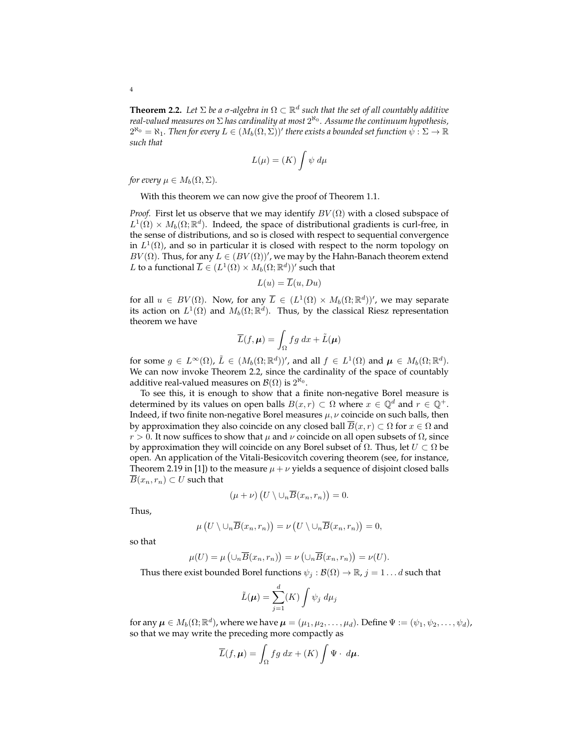**Theorem 2.2.** Let  $\Sigma$  be a  $\sigma$ -algebra in  $\Omega \subset \mathbb{R}^d$  such that the set of all countably additive *real-valued measures on* Σ *has cardinality at most* 2 ℵ0 *. Assume the continuum hypothesis,*  $2^{\aleph_0} = \aleph_1$ . Then for every  $L \in (M_b(\Omega,\Sigma))'$  there exists a bounded set function  $\psi: \Sigma \to \mathbb{R}$ *such that*

$$
L(\mu) = (K) \int \psi \ d\mu
$$

*for every*  $\mu \in M_b(\Omega, \Sigma)$ .

With this theorem we can now give the proof of Theorem 1.1.

*Proof.* First let us observe that we may identify  $BV(\Omega)$  with a closed subspace of  $L^1(\Omega) \times M_b(\Omega;\mathbb{R}^d)$ . Indeed, the space of distributional gradients is curl-free, in the sense of distributions, and so is closed with respect to sequential convergence in  $L^1(\Omega)$ , and so in particular it is closed with respect to the norm topology on  $BV(\Omega)$ . Thus, for any  $L \in (BV(\Omega))'$ , we may by the Hahn-Banach theorem extend L to a functional  $\overline{L} \in (L^1(\Omega) \times M_b(\Omega;\mathbb{R}^d))'$  such that

$$
L(u) = \overline{L}(u, Du)
$$

for all  $u \in BV(\Omega)$ . Now, for any  $\overline{L} \in (L^1(\Omega) \times M_b(\Omega;\mathbb{R}^d))'$ , we may separate its action on  $L^1(\Omega)$  and  $M_b(\Omega;\mathbb{R}^d).$  Thus, by the classical Riesz representation theorem we have

$$
\overline{L}(f,\boldsymbol{\mu}) = \int_{\Omega} fg \, dx + \tilde{L}(\boldsymbol{\mu})
$$

for some  $g \in L^{\infty}(\Omega)$ ,  $\tilde{L} \in (M_b(\Omega;\mathbb{R}^d))'$ , and all  $f \in L^1(\Omega)$  and  $\mu \in M_b(\Omega;\mathbb{R}^d)$ . We can now invoke Theorem 2.2, since the cardinality of the space of countably additive real-valued measures on  $\mathcal{B}(\Omega)$  is  $2^{\aleph_0}$ .

To see this, it is enough to show that a finite non-negative Borel measure is determined by its values on open balls  $B(x, r) \subset \Omega$  where  $x \in \mathbb{Q}^d$  and  $r \in \mathbb{Q}^+$ . Indeed, if two finite non-negative Borel measures  $\mu$ ,  $\nu$  coincide on such balls, then by approximation they also coincide on any closed ball  $\overline{B}(x, r) \subset \Omega$  for  $x \in \Omega$  and  $r > 0$ . It now suffices to show that  $\mu$  and  $\nu$  coincide on all open subsets of  $\Omega$ , since by approximation they will coincide on any Borel subset of  $Ω$ . Thus, let  $U ⊂ Ω$  be open. An application of the Vitali-Besicovitch covering theorem (see, for instance, Theorem 2.19 in [1]) to the measure  $\mu + \nu$  yields a sequence of disjoint closed balls  $\overline{B}(x_n,r_n) \subset U$  such that

$$
(\mu+\nu)\left(U\setminus\cup_n\overline{B}(x_n,r_n)\right)=0.
$$

Thus,

$$
\mu\left(U\setminus\cup_n\overline{B}(x_n,r_n)\right)=\nu\left(U\setminus\cup_n\overline{B}(x_n,r_n)\right)=0,
$$

so that

$$
\mu(U) = \mu\left(\cup_n \overline{B}(x_n, r_n)\right) = \nu\left(\cup_n \overline{B}(x_n, r_n)\right) = \nu(U).
$$

Thus there exist bounded Borel functions  $\psi_j : \mathcal{B}(\Omega) \to \mathbb{R}, j = 1 \dots d$  such that

$$
\tilde{L}(\mu) = \sum_{j=1}^{d} (K) \int \psi_j \ d\mu_j
$$

for any  $\mu \in M_b(\Omega;\mathbb{R}^d)$ , where we have  $\mu = (\mu_1, \mu_2, \dots, \mu_d)$ . Define  $\Psi := (\psi_1, \psi_2, \dots, \psi_d)$ , so that we may write the preceding more compactly as

$$
\overline{L}(f,\mu) = \int_{\Omega} fg \, dx + (K) \int \Psi \cdot d\mu.
$$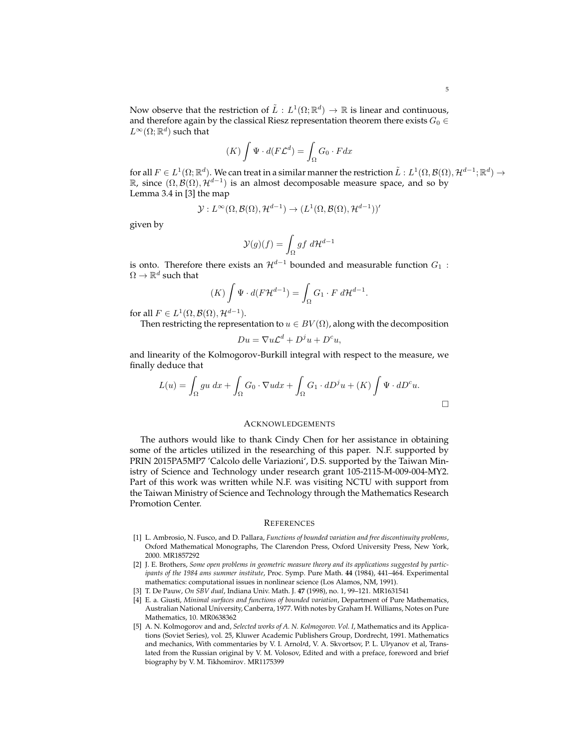Now observe that the restriction of  $\tilde{L}: L^1(\Omega;\mathbb{R}^d) \to \mathbb{R}$  is linear and continuous, and therefore again by the classical Riesz representation theorem there exists  $G_0 \in$  $L^\infty(\Omega;\mathbb{R}^d)$  such that

$$
(K)\int \Psi \cdot d(F\mathcal{L}^d) = \int_{\Omega} G_0 \cdot F dx
$$

for all  $F \in L^1(\Omega;\mathbb{R}^d)$ . We can treat in a similar manner the restriction  $\tilde{L}: L^1(\Omega,\mathcal{B}(\Omega),\mathcal{H}^{d-1};\mathbb{R}^d) \to$  $\mathbb{R}$ , since  $(Ω, B(Ω), H<sup>d-1</sup>)$  is an almost decomposable measure space, and so by Lemma 3.4 in [3] the map

$$
\mathcal{Y}: L^{\infty}(\Omega, \mathcal{B}(\Omega), \mathcal{H}^{d-1}) \to (L^1(\Omega, \mathcal{B}(\Omega), \mathcal{H}^{d-1}))'
$$

given by

$$
\mathcal{Y}(g)(f)=\int_\Omega g f\;d\mathcal{H}^{d-1}
$$

is onto. Therefore there exists an  $\mathcal{H}^{d-1}$  bounded and measurable function  $G_1$ :  $\Omega \to \mathbb{R}^d$  such that

$$
(K)\int \Psi \cdot d(F\mathcal{H}^{d-1}) = \int_{\Omega} G_1 \cdot F \, d\mathcal{H}^{d-1}.
$$

for all  $F \in L^1(\Omega, \mathcal{B}(\Omega), \mathcal{H}^{d-1}).$ 

Then restricting the representation to  $u \in BV(\Omega)$ , along with the decomposition

$$
Du = \nabla u \mathcal{L}^d + D^j u + D^c u,
$$

and linearity of the Kolmogorov-Burkill integral with respect to the measure, we finally deduce that

$$
L(u) = \int_{\Omega} gu \, dx + \int_{\Omega} G_0 \cdot \nabla u dx + \int_{\Omega} G_1 \cdot dD^j u + (K) \int \Psi \cdot dD^c u.
$$

#### ACKNOWLEDGEMENTS

The authors would like to thank Cindy Chen for her assistance in obtaining some of the articles utilized in the researching of this paper. N.F. supported by PRIN 2015PA5MP7 'Calcolo delle Variazioni', D.S. supported by the Taiwan Ministry of Science and Technology under research grant 105-2115-M-009-004-MY2. Part of this work was written while N.F. was visiting NCTU with support from the Taiwan Ministry of Science and Technology through the Mathematics Research Promotion Center.

#### **REFERENCES**

- [1] L. Ambrosio, N. Fusco, and D. Pallara, *Functions of bounded variation and free discontinuity problems*, Oxford Mathematical Monographs, The Clarendon Press, Oxford University Press, New York, 2000. MR1857292
- [2] J. E. Brothers, *Some open problems in geometric measure theory and its applications suggested by participants of the 1984 ams summer institute*, Proc. Symp. Pure Math. **44** (1984), 441–464. Experimental mathematics: computational issues in nonlinear science (Los Alamos, NM, 1991).
- [3] T. De Pauw, *On SBV dual*, Indiana Univ. Math. J. **47** (1998), no. 1, 99–121. MR1631541
- [4] E. a. Giusti, *Minimal surfaces and functions of bounded variation*, Department of Pure Mathematics, Australian National University, Canberra, 1977. With notes by Graham H. Williams, Notes on Pure Mathematics, 10. MR0638362
- [5] A. N. Kolmogorov and and, *Selected works of A. N. Kolmogorov. Vol. I*, Mathematics and its Applications (Soviet Series), vol. 25, Kluwer Academic Publishers Group, Dordrecht, 1991. Mathematics and mechanics, With commentaries by V. I. Arnol/d, V. A. Skvortsov, P. L. Ul/yanov et al, Translated from the Russian original by V. M. Volosov, Edited and with a preface, foreword and brief biography by V. M. Tikhomirov. MR1175399